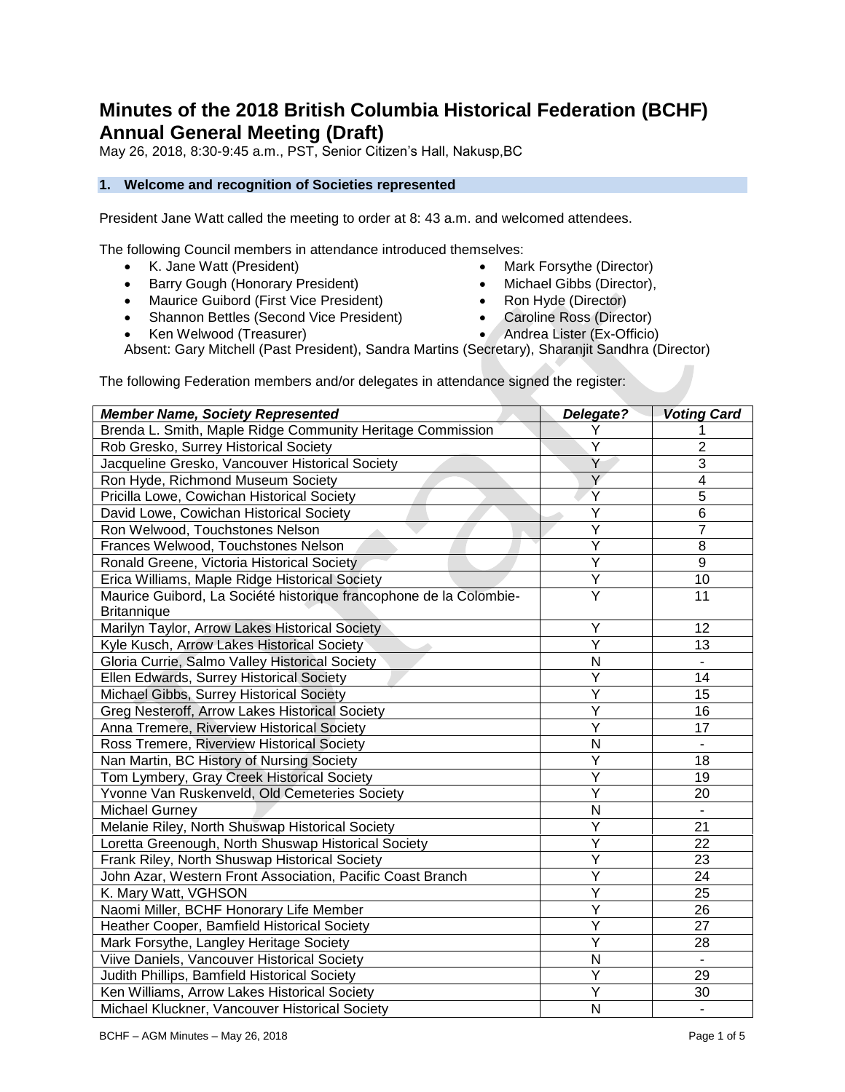# **Minutes of the 2018 British Columbia Historical Federation (BCHF) Annual General Meeting (Draft)**

May 26, 2018, 8:30-9:45 a.m., PST, Senior Citizen's Hall, Nakusp,BC

# **1. Welcome and recognition of Societies represented**

President Jane Watt called the meeting to order at 8: 43 a.m. and welcomed attendees.

The following Council members in attendance introduced themselves:

- K. Jane Watt (President)
- Barry Gough (Honorary President)
- Maurice Guibord (First Vice President)
- Shannon Bettles (Second Vice President)
- Ken Welwood (Treasurer)
- Mark Forsythe (Director) • Michael Gibbs (Director),
- Ron Hyde (Director)
- Caroline Ross (Director)
- Andrea Lister (Ex-Officio)

Absent: Gary Mitchell (Past President), Sandra Martins (Secretary), Sharanjit Sandhra (Director)

The following Federation members and/or delegates in attendance signed the register:

| <b>Member Name, Society Represented</b>                            | Delegate? | <b>Voting Card</b> |
|--------------------------------------------------------------------|-----------|--------------------|
| Brenda L. Smith, Maple Ridge Community Heritage Commission         | Y         |                    |
| Rob Gresko, Surrey Historical Society                              | Υ         | 2                  |
| Jacqueline Gresko, Vancouver Historical Society                    | Y         | 3                  |
| Ron Hyde, Richmond Museum Society                                  | Y         | 4                  |
| Pricilla Lowe, Cowichan Historical Society                         |           | 5                  |
| David Lowe, Cowichan Historical Society                            | Υ         | 6                  |
| Ron Welwood, Touchstones Nelson                                    | Υ         | 7                  |
| Frances Welwood, Touchstones Nelson                                | Υ         | 8                  |
| Ronald Greene, Victoria Historical Society                         | Υ         | 9                  |
| Erica Williams, Maple Ridge Historical Society                     | Υ         | 10                 |
| Maurice Guibord, La Société historique francophone de la Colombie- | Υ         | 11                 |
| <b>Britannique</b>                                                 |           |                    |
| Marilyn Taylor, Arrow Lakes Historical Society                     | Y         | 12                 |
| Kyle Kusch, Arrow Lakes Historical Society                         | Y         | 13                 |
| Gloria Currie, Salmo Valley Historical Society                     | N         |                    |
| Ellen Edwards, Surrey Historical Society                           | Υ         | 14                 |
| Michael Gibbs, Surrey Historical Society                           | Y         | 15                 |
| Greg Nesteroff, Arrow Lakes Historical Society                     | Y         | 16                 |
| Anna Tremere, Riverview Historical Society                         | Y         | 17                 |
| Ross Tremere, Riverview Historical Society                         | N         | $\blacksquare$     |
| Nan Martin, BC History of Nursing Society                          | Y         | 18                 |
| Tom Lymbery, Gray Creek Historical Society                         | Y         | 19                 |
| Yvonne Van Ruskenveld, Old Cemeteries Society                      | Y         | 20                 |
| <b>Michael Gurney</b>                                              | N         | $\blacksquare$     |
| Melanie Riley, North Shuswap Historical Society                    | Y         | 21                 |
| Loretta Greenough, North Shuswap Historical Society                | Y         | 22                 |
| Frank Riley, North Shuswap Historical Society                      | Y         | 23                 |
| John Azar, Western Front Association, Pacific Coast Branch         | Y         | 24                 |
| K. Mary Watt, VGHSON                                               | Y         | 25                 |
| Naomi Miller, BCHF Honorary Life Member                            | Y         | 26                 |
| Heather Cooper, Bamfield Historical Society                        | Ÿ         | 27                 |
| Mark Forsythe, Langley Heritage Society                            | Ÿ         | 28                 |
| Viive Daniels, Vancouver Historical Society                        | N         | $\blacksquare$     |
| Judith Phillips, Bamfield Historical Society                       | Ÿ         | 29                 |
| Ken Williams, Arrow Lakes Historical Society                       | Ÿ         | 30                 |
| Michael Kluckner, Vancouver Historical Society                     | N         | $\blacksquare$     |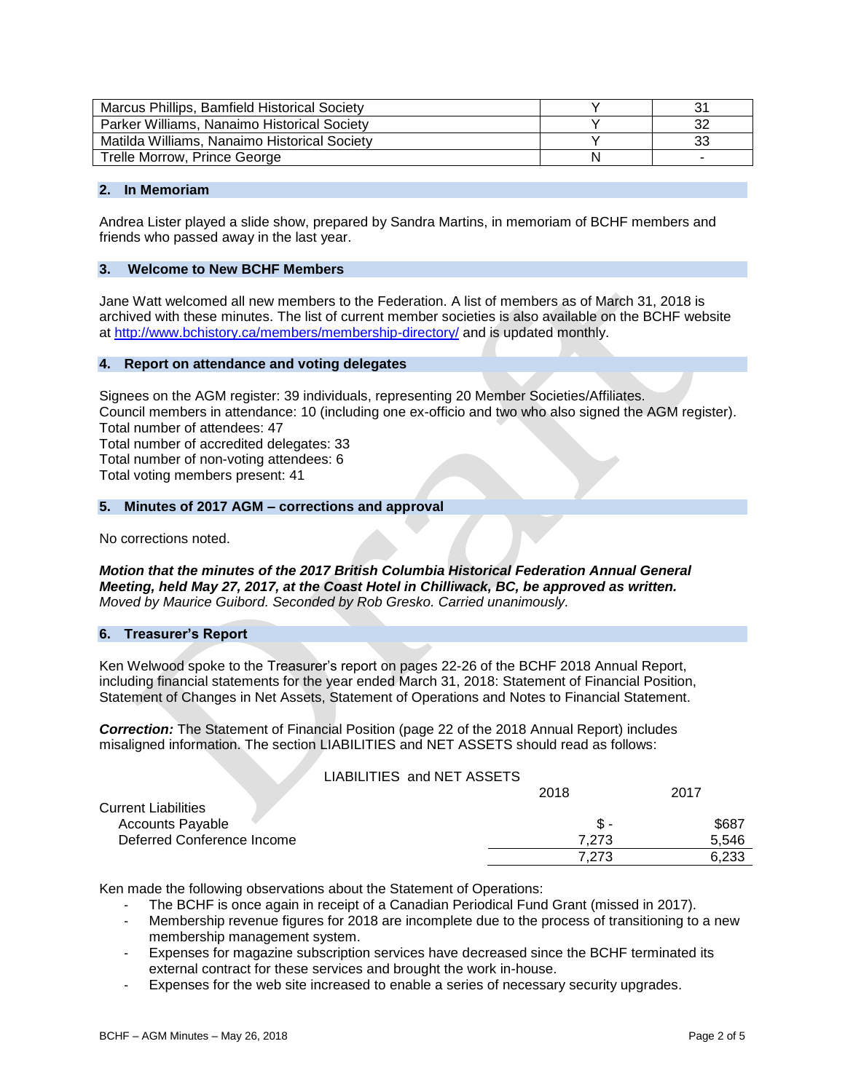| Marcus Phillips, Bamfield Historical Society |    |
|----------------------------------------------|----|
| Parker Williams, Nanaimo Historical Society  |    |
| Matilda Williams, Nanaimo Historical Society | نٽ |
| Trelle Morrow, Prince George                 |    |

# **2. In Memoriam**

Andrea Lister played a slide show, prepared by Sandra Martins, in memoriam of BCHF members and friends who passed away in the last year.

# **3. Welcome to New BCHF Members**

Jane Watt welcomed all new members to the Federation. A list of members as of March 31, 2018 is archived with these minutes. The list of current member societies is also available on the BCHF website at<http://www.bchistory.ca/members/membership-directory/> and is updated monthly.

# **4. Report on attendance and voting delegates**

Signees on the AGM register: 39 individuals, representing 20 Member Societies/Affiliates. Council members in attendance: 10 (including one ex-officio and two who also signed the AGM register). Total number of attendees: 47 Total number of accredited delegates: 33

Total number of non-voting attendees: 6 Total voting members present: 41

#### **5. Minutes of 2017 AGM – corrections and approval**

No corrections noted.

*Motion that the minutes of the 2017 British Columbia Historical Federation Annual General Meeting, held May 27, 2017, at the Coast Hotel in Chilliwack, BC, be approved as written. Moved by Maurice Guibord. Seconded by Rob Gresko. Carried unanimously.*

#### **6. Treasurer's Report**

Ken Welwood spoke to the Treasurer's report on pages 22-26 of the BCHF 2018 Annual Report, including financial statements for the year ended March 31, 2018: Statement of Financial Position, Statement of Changes in Net Assets, Statement of Operations and Notes to Financial Statement.

*Correction:* The Statement of Financial Position (page 22 of the 2018 Annual Report) includes misaligned information. The section LIABILITIES and NET ASSETS should read as follows:

| LIABILITIES and NET ASSETS |      |  |
|----------------------------|------|--|
|                            | 2018 |  |

|                            | ------ | ---   |
|----------------------------|--------|-------|
| <b>Current Liabilities</b> |        |       |
| <b>Accounts Payable</b>    | \$ -   | \$687 |
| Deferred Conference Income | 7.273  | 5.546 |
|                            | 7.273  | 6.233 |

Ken made the following observations about the Statement of Operations:

- The BCHF is once again in receipt of a Canadian Periodical Fund Grant (missed in 2017).
- Membership revenue figures for 2018 are incomplete due to the process of transitioning to a new membership management system.
- Expenses for magazine subscription services have decreased since the BCHF terminated its external contract for these services and brought the work in-house.
- Expenses for the web site increased to enable a series of necessary security upgrades.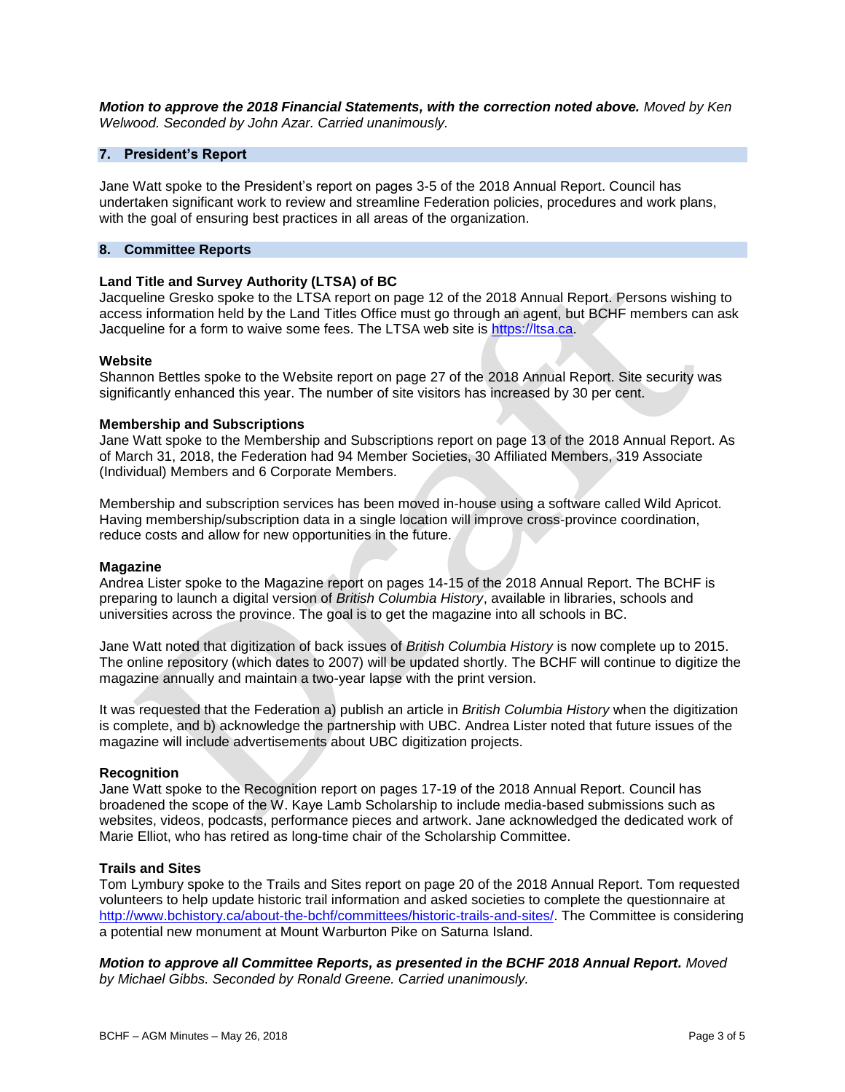*Motion to approve the 2018 Financial Statements, with the correction noted above. Moved by Ken Welwood. Seconded by John Azar. Carried unanimously.* 

# **7. President's Report**

Jane Watt spoke to the President's report on pages 3-5 of the 2018 Annual Report. Council has undertaken significant work to review and streamline Federation policies, procedures and work plans, with the goal of ensuring best practices in all areas of the organization.

# **8. Committee Reports**

# **Land Title and Survey Authority (LTSA) of BC**

Jacqueline Gresko spoke to the LTSA report on page 12 of the 2018 Annual Report. Persons wishing to access information held by the Land Titles Office must go through an agent, but BCHF members can ask Jacqueline for a form to waive some fees. The LTSA web site is [https://ltsa.ca.](https://ltsa.ca/)

#### **Website**

Shannon Bettles spoke to the Website report on page 27 of the 2018 Annual Report. Site security was significantly enhanced this year. The number of site visitors has increased by 30 per cent.

# **Membership and Subscriptions**

Jane Watt spoke to the Membership and Subscriptions report on page 13 of the 2018 Annual Report. As of March 31, 2018, the Federation had 94 Member Societies, 30 Affiliated Members, 319 Associate (Individual) Members and 6 Corporate Members.

Membership and subscription services has been moved in-house using a software called Wild Apricot. Having membership/subscription data in a single location will improve cross-province coordination, reduce costs and allow for new opportunities in the future.

#### **Magazine**

Andrea Lister spoke to the Magazine report on pages 14-15 of the 2018 Annual Report. The BCHF is preparing to launch a digital version of *British Columbia History*, available in libraries, schools and universities across the province. The goal is to get the magazine into all schools in BC.

Jane Watt noted that digitization of back issues of *British Columbia History* is now complete up to 2015. The online repository (which dates to 2007) will be updated shortly. The BCHF will continue to digitize the magazine annually and maintain a two-year lapse with the print version.

It was requested that the Federation a) publish an article in *British Columbia History* when the digitization is complete, and b) acknowledge the partnership with UBC. Andrea Lister noted that future issues of the magazine will include advertisements about UBC digitization projects.

#### **Recognition**

Jane Watt spoke to the Recognition report on pages 17-19 of the 2018 Annual Report. Council has broadened the scope of the W. Kaye Lamb Scholarship to include media-based submissions such as websites, videos, podcasts, performance pieces and artwork. Jane acknowledged the dedicated work of Marie Elliot, who has retired as long-time chair of the Scholarship Committee.

#### **Trails and Sites**

Tom Lymbury spoke to the Trails and Sites report on page 20 of the 2018 Annual Report. Tom requested volunteers to help update historic trail information and asked societies to complete the questionnaire at [http://www.bchistory.ca/about-the-bchf/committees/historic-trails-and-sites/.](http://www.bchistory.ca/about-the-bchf/committees/historic-trails-and-sites/) The Committee is considering a potential new monument at Mount Warburton Pike on Saturna Island.

*Motion to approve all Committee Reports, as presented in the BCHF 2018 Annual Report. Moved by Michael Gibbs. Seconded by Ronald Greene. Carried unanimously.*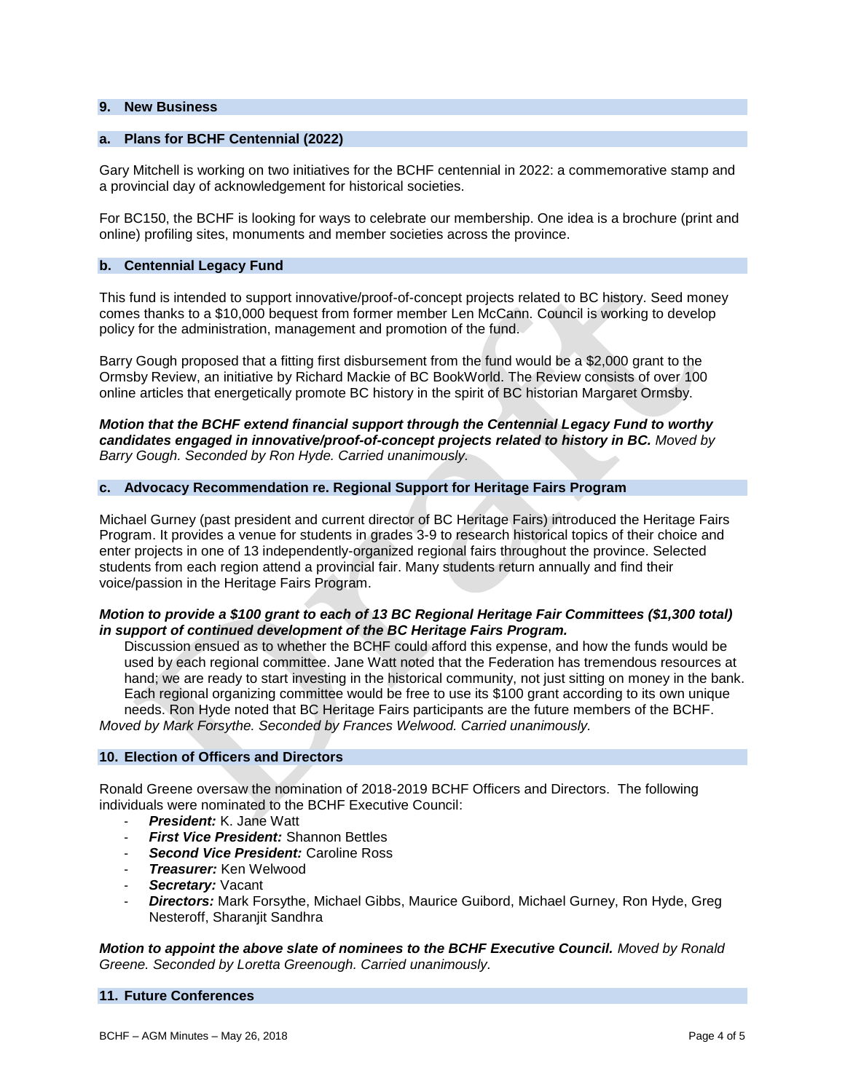#### **9. New Business**

# **a. Plans for BCHF Centennial (2022)**

Gary Mitchell is working on two initiatives for the BCHF centennial in 2022: a commemorative stamp and a provincial day of acknowledgement for historical societies.

For BC150, the BCHF is looking for ways to celebrate our membership. One idea is a brochure (print and online) profiling sites, monuments and member societies across the province.

## **b. Centennial Legacy Fund**

This fund is intended to support innovative/proof-of-concept projects related to BC history. Seed money comes thanks to a \$10,000 bequest from former member Len McCann. Council is working to develop policy for the administration, management and promotion of the fund.

Barry Gough proposed that a fitting first disbursement from the fund would be a \$2,000 grant to the Ormsby Review, an initiative by Richard Mackie of BC BookWorld. The Review consists of over 100 online articles that energetically promote BC history in the spirit of BC historian Margaret Ormsby.

*Motion that the BCHF extend financial support through the Centennial Legacy Fund to worthy candidates engaged in innovative/proof-of-concept projects related to history in BC. Moved by Barry Gough. Seconded by Ron Hyde. Carried unanimously.*

# **c. Advocacy Recommendation re. Regional Support for Heritage Fairs Program**

Michael Gurney (past president and current director of BC Heritage Fairs) introduced the Heritage Fairs Program. It provides a venue for students in grades 3-9 to research historical topics of their choice and enter projects in one of 13 independently-organized regional fairs throughout the province. Selected students from each region attend a provincial fair. Many students return annually and find their voice/passion in the Heritage Fairs Program.

# *Motion to provide a \$100 grant to each of 13 BC Regional Heritage Fair Committees (\$1,300 total) in support of continued development of the BC Heritage Fairs Program.*

Discussion ensued as to whether the BCHF could afford this expense, and how the funds would be used by each regional committee. Jane Watt noted that the Federation has tremendous resources at hand; we are ready to start investing in the historical community, not just sitting on money in the bank. Each regional organizing committee would be free to use its \$100 grant according to its own unique needs. Ron Hyde noted that BC Heritage Fairs participants are the future members of the BCHF. *Moved by Mark Forsythe. Seconded by Frances Welwood. Carried unanimously.* 

#### **10. Election of Officers and Directors**

Ronald Greene oversaw the nomination of 2018-2019 BCHF Officers and Directors. The following individuals were nominated to the BCHF Executive Council:

- **President:** K. Jane Watt
- **First Vice President:** Shannon Bettles
- **Second Vice President: Caroline Ross**
- *Treasurer:* Ken Welwood
- Secretary: Vacant
- *Directors:* Mark Forsythe, Michael Gibbs, Maurice Guibord, Michael Gurney, Ron Hyde, Greg Nesteroff, Sharanjit Sandhra

*Motion to appoint the above slate of nominees to the BCHF Executive Council. Moved by Ronald Greene. Seconded by Loretta Greenough. Carried unanimously.* 

# **11. Future Conferences**